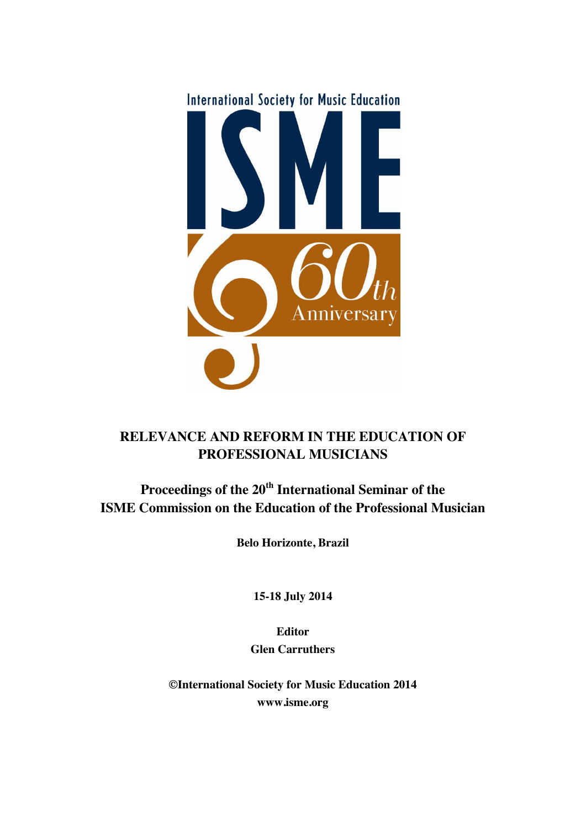

# **RELEVANCE AND REFORM IN THE EDUCATION OF PROFESSIONAL MUSICIANS**

# **Proceedings of the 20th International Seminar of the ISME Commission on the Education of the Professional Musician**

**Belo Horizonte, Brazil**

**15-18 July 2014**

**Editor Glen Carruthers**

**©International Society for Music Education 2014 www.isme.org**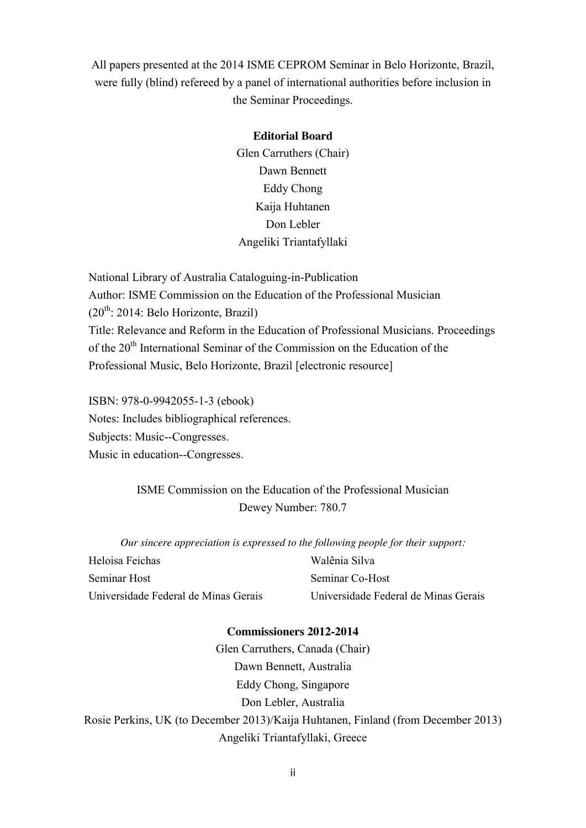All papers presented at the 2014 ISME CEPROM Seminar in Belo Horizonte, Brazil, were fully (blind) refereed by a panel of international authorities before inclusion in the Seminar Proceedings.

#### **Editorial Board**

Glen Carruthers (Chair) Dawn Bennett Eddy Chong Kaija Huhtanen Don Lebler Angeliki Triantafyllaki

National Library of Australia Cataloguing-in-Publication Author: ISME Commission on the Education of the Professional Musician  $(20^{th})$ : 2014: Belo Horizonte, Brazil) Title: Relevance and Reform in the Education of Professional Musicians. Proceedings of the 20<sup>th</sup> International Seminar of the Commission on the Education of the Professional Music, Belo Horizonte, Brazil [electronic resource]

ISBN: 978-0-9942055-1-3 (ebook) Notes: Includes bibliographical references. Subjects: Music--Congresses. Music in education--Congresses.

> ISME Commission on the Education of the Professional Musician Dewey Number: 780.7

*Our sincere appreciation is expressed to the following people for their support:*

| Heloisa Feichas                      | Walênia Silva                        |
|--------------------------------------|--------------------------------------|
| Seminar Host                         | Seminar Co-Host                      |
| Universidade Federal de Minas Gerais | Universidade Federal de Minas Gerais |

### **Commissioners 2012-2014**

Glen Carruthers, Canada (Chair) Dawn Bennett, Australia Eddy Chong, Singapore Don Lebler, Australia Rosie Perkins, UK (to December 2013)/Kaija Huhtanen, Finland (from December 2013) Angeliki Triantafyllaki, Greece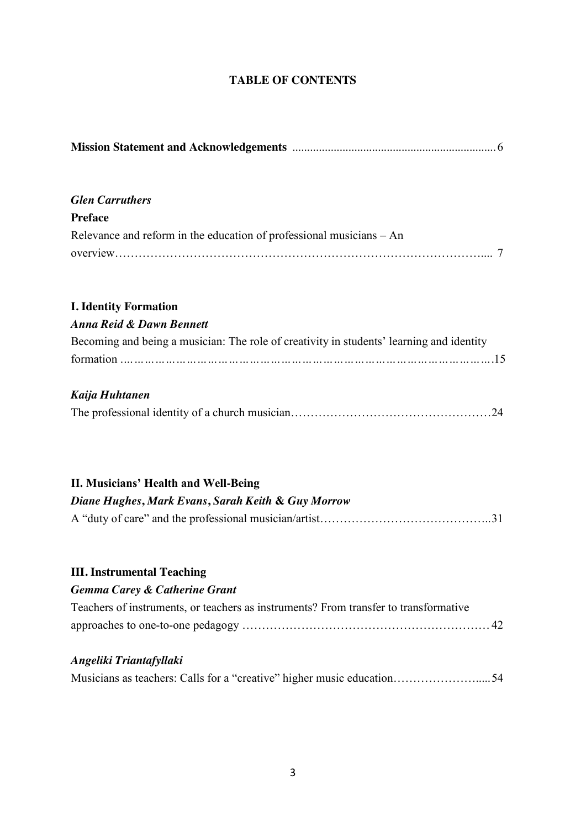# **TABLE OF CONTENTS**

| <b>Glen Carruthers</b>                                                                   |  |  |  |  |
|------------------------------------------------------------------------------------------|--|--|--|--|
| <b>Preface</b>                                                                           |  |  |  |  |
| Relevance and reform in the education of professional musicians $- An$                   |  |  |  |  |
|                                                                                          |  |  |  |  |
| <b>I. Identity Formation</b>                                                             |  |  |  |  |
| <b>Anna Reid &amp; Dawn Bennett</b>                                                      |  |  |  |  |
| Becoming and being a musician: The role of creativity in students' learning and identity |  |  |  |  |
|                                                                                          |  |  |  |  |
| Kaija Huhtanen                                                                           |  |  |  |  |
|                                                                                          |  |  |  |  |
| II. Musicians' Health and Well-Being                                                     |  |  |  |  |
| Diane Hughes, Mark Evans, Sarah Keith & Guy Morrow                                       |  |  |  |  |
|                                                                                          |  |  |  |  |
| <b>III. Instrumental Teaching</b>                                                        |  |  |  |  |
| <b>Gemma Carey &amp; Catherine Grant</b>                                                 |  |  |  |  |
| Teachers of instruments, or teachers as instruments? From transfer to transformative     |  |  |  |  |
|                                                                                          |  |  |  |  |
| Angeliki Triantafyllaki                                                                  |  |  |  |  |
| Musicians as teachers: Calls for a "creative" higher music education54                   |  |  |  |  |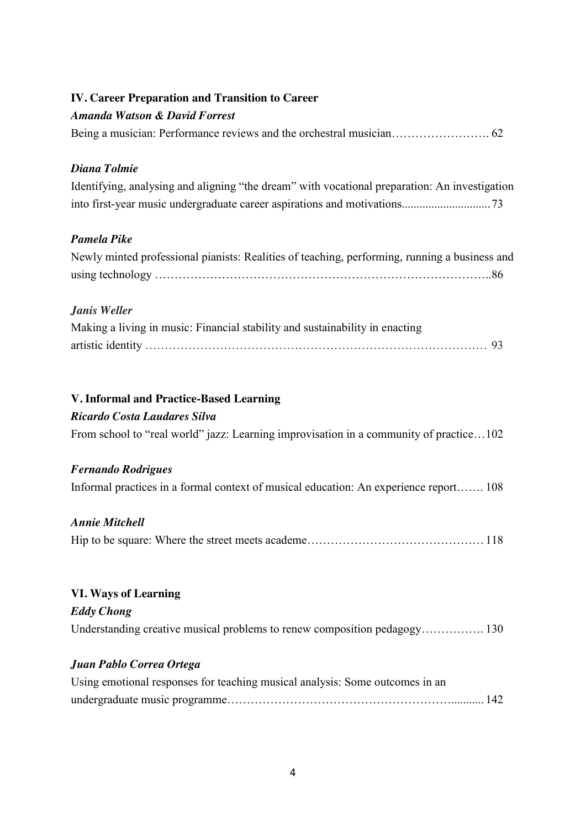| <b>IV. Career Preparation and Transition to Career</b><br><b>Amanda Watson &amp; David Forrest</b> |
|----------------------------------------------------------------------------------------------------|
|                                                                                                    |
| Diana Tolmie                                                                                       |
| Identifying, analysing and aligning "the dream" with vocational preparation: An investigation      |
| <b>Pamela Pike</b>                                                                                 |
| Newly minted professional pianists: Realities of teaching, performing, running a business and      |
| Janis Weller                                                                                       |
| Making a living in music: Financial stability and sustainability in enacting                       |
| V. Informal and Practice-Based Learning                                                            |
| Ricardo Costa Laudares Silva                                                                       |
| From school to "real world" jazz: Learning improvisation in a community of practice102             |
| <b>Fernando Rodrigues</b>                                                                          |
| Informal practices in a formal context of musical education: An experience report 108              |
| <b>Annie Mitchell</b>                                                                              |
|                                                                                                    |
| <b>VI. Ways of Learning</b>                                                                        |
| <b>Eddy Chong</b>                                                                                  |
| Understanding creative musical problems to renew composition pedagogy 130                          |
| Juan Pablo Correa Ortega                                                                           |
| Using emotional responses for teaching musical analysis: Some outcomes in an                       |

undergraduate music programme…………………………………………………........... 142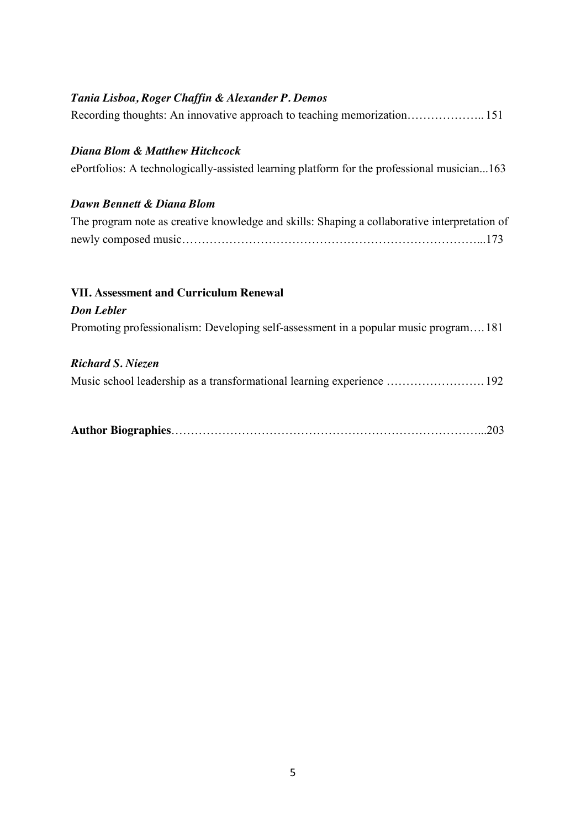## *Tania Lisboa, Roger Chaffin & Alexander P. Demos*

### *Diana Blom & Matthew Hitchcock*

ePortfolios: A technologically-assisted learning platform for the professional musician...163

### *Dawn Bennett & Diana Blom*

| The program note as creative knowledge and skills: Shaping a collaborative interpretation of |  |
|----------------------------------------------------------------------------------------------|--|
|                                                                                              |  |

# **VII. Assessment and Curriculum Renewal**

### *Don Lebler*

Promoting professionalism: Developing self-assessment in a popular music program….181

### *Richard S. Niezen*

Music school leadership as a transformational learning experience ……………………. 192

|--|--|--|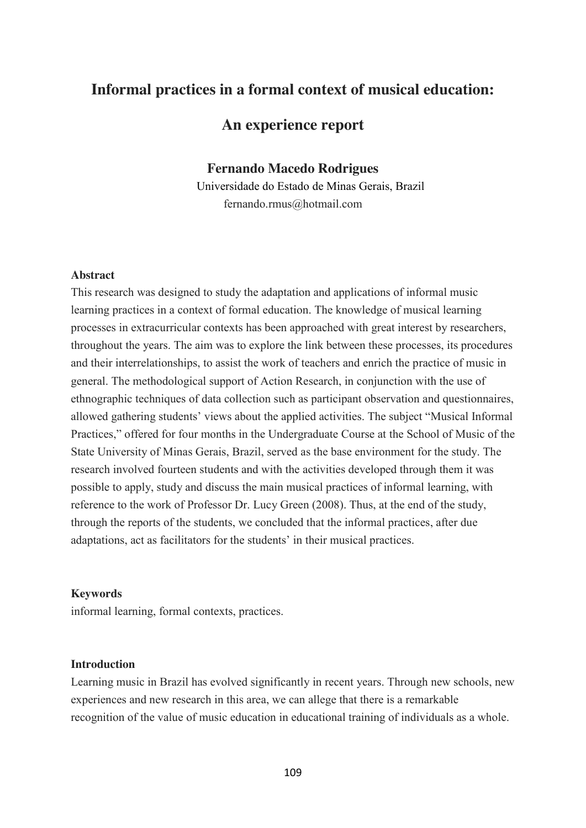# **Informal practices in a formal context of musical education:**

# **An experience report**

### **Fernando Macedo Rodrigues**

Universidade do Estado de Minas Gerais, Brazil fernando.rmus@hotmail.com

### **Abstract**

This research was designed to study the adaptation and applications of informal music learning practices in a context of formal education. The knowledge of musical learning processes in extracurricular contexts has been approached with great interest by researchers, throughout the years. The aim was to explore the link between these processes, its procedures and their interrelationships, to assist the work of teachers and enrich the practice of music in general. The methodological support of Action Research, in conjunction with the use of ethnographic techniques of data collection such as participant observation and questionnaires, allowed gathering students' views about the applied activities. The subject "Musical Informal Practices," offered for four months in the Undergraduate Course at the School of Music of the State University of Minas Gerais, Brazil, served as the base environment for the study. The research involved fourteen students and with the activities developed through them it was possible to apply, study and discuss the main musical practices of informal learning, with reference to the work of Professor Dr. Lucy Green (2008). Thus, at the end of the study, through the reports of the students, we concluded that the informal practices, after due adaptations, act as facilitators for the students' in their musical practices.

### **Keywords**

informal learning, formal contexts, practices.

### **Introduction**

Learning music in Brazil has evolved significantly in recent years. Through new schools, new experiences and new research in this area, we can allege that there is a remarkable recognition of the value of music education in educational training of individuals as a whole.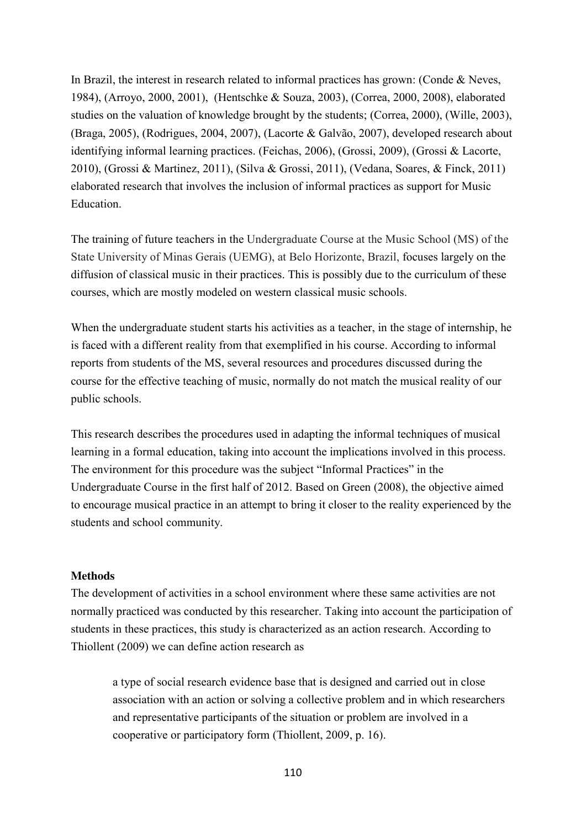In Brazil, the interest in research related to informal practices has grown: (Conde & Neves, 1984), (Arroyo, 2000, 2001), (Hentschke & Souza, 2003), (Correa, 2000, 2008), elaborated studies on the valuation of knowledge brought by the students; (Correa, 2000), (Wille, 2003), (Braga, 2005), (Rodrigues, 2004, 2007), (Lacorte & Galvão, 2007), developed research about identifying informal learning practices. (Feichas, 2006), (Grossi, 2009), (Grossi & Lacorte, 2010), (Grossi & Martinez, 2011), (Silva & Grossi, 2011), (Vedana, Soares, & Finck, 2011) elaborated research that involves the inclusion of informal practices as support for Music Education.

The training of future teachers in the Undergraduate Course at the Music School (MS) of the State University of Minas Gerais (UEMG), at Belo Horizonte, Brazil, focuses largely on the diffusion of classical music in their practices. This is possibly due to the curriculum of these courses, which are mostly modeled on western classical music schools.

When the undergraduate student starts his activities as a teacher, in the stage of internship, he is faced with a different reality from that exemplified in his course. According to informal reports from students of the MS, several resources and procedures discussed during the course for the effective teaching of music, normally do not match the musical reality of our public schools.

This research describes the procedures used in adapting the informal techniques of musical learning in a formal education, taking into account the implications involved in this process. The environment for this procedure was the subject "Informal Practices" in the Undergraduate Course in the first half of 2012. Based on Green (2008), the objective aimed to encourage musical practice in an attempt to bring it closer to the reality experienced by the students and school community.

### **Methods**

The development of activities in a school environment where these same activities are not normally practiced was conducted by this researcher. Taking into account the participation of students in these practices, this study is characterized as an action research. According to Thiollent (2009) we can define action research as

a type of social research evidence base that is designed and carried out in close association with an action or solving a collective problem and in which researchers and representative participants of the situation or problem are involved in a cooperative or participatory form (Thiollent, 2009, p. 16).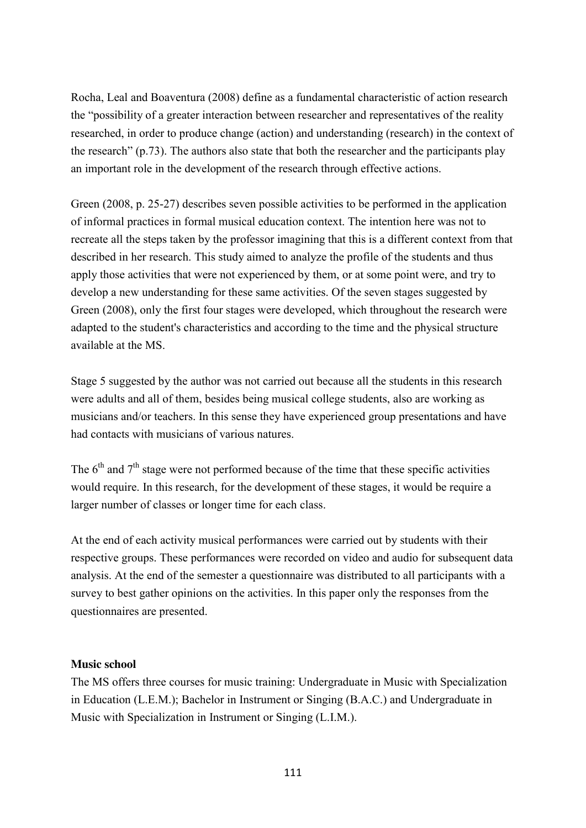Rocha, Leal and Boaventura (2008) define as a fundamental characteristic of action research the "possibility of a greater interaction between researcher and representatives of the reality researched, in order to produce change (action) and understanding (research) in the context of the research" (p.73). The authors also state that both the researcher and the participants play an important role in the development of the research through effective actions.

Green (2008, p. 25-27) describes seven possible activities to be performed in the application of informal practices in formal musical education context. The intention here was not to recreate all the steps taken by the professor imagining that this is a different context from that described in her research. This study aimed to analyze the profile of the students and thus apply those activities that were not experienced by them, or at some point were, and try to develop a new understanding for these same activities. Of the seven stages suggested by Green (2008), only the first four stages were developed, which throughout the research were adapted to the student's characteristics and according to the time and the physical structure available at the MS.

Stage 5 suggested by the author was not carried out because all the students in this research were adults and all of them, besides being musical college students, also are working as musicians and/or teachers. In this sense they have experienced group presentations and have had contacts with musicians of various natures.

The  $6<sup>th</sup>$  and  $7<sup>th</sup>$  stage were not performed because of the time that these specific activities would require. In this research, for the development of these stages, it would be require a larger number of classes or longer time for each class.

At the end of each activity musical performances were carried out by students with their respective groups. These performances were recorded on video and audio for subsequent data analysis. At the end of the semester a questionnaire was distributed to all participants with a survey to best gather opinions on the activities. In this paper only the responses from the questionnaires are presented.

### **Music school**

The MS offers three courses for music training: Undergraduate in Music with Specialization in Education (L.E.M.); Bachelor in Instrument or Singing (B.A.C.) and Undergraduate in Music with Specialization in Instrument or Singing (L.I.M.).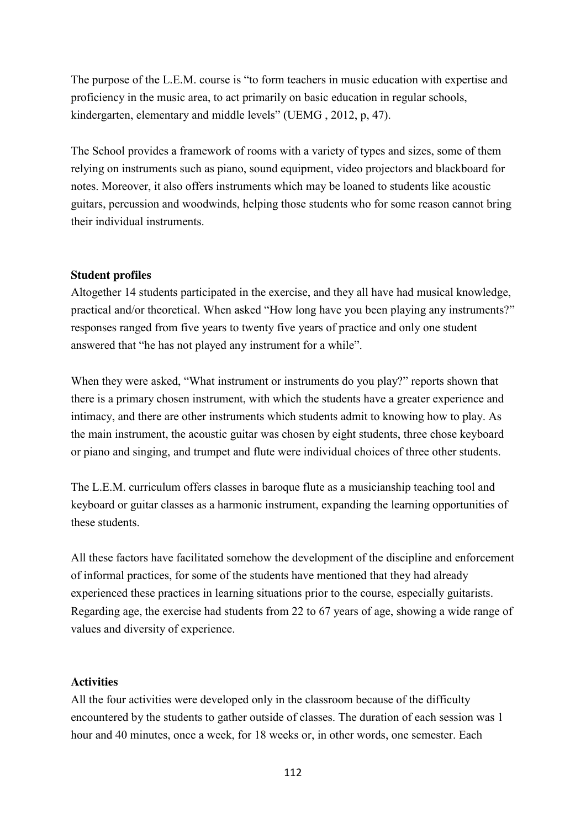The purpose of the L.E.M. course is "to form teachers in music education with expertise and proficiency in the music area, to act primarily on basic education in regular schools, kindergarten, elementary and middle levels" (UEMG , 2012, p, 47).

The School provides a framework of rooms with a variety of types and sizes, some of them relying on instruments such as piano, sound equipment, video projectors and blackboard for notes. Moreover, it also offers instruments which may be loaned to students like acoustic guitars, percussion and woodwinds, helping those students who for some reason cannot bring their individual instruments.

### **Student profiles**

Altogether 14 students participated in the exercise, and they all have had musical knowledge, practical and/or theoretical. When asked "How long have you been playing any instruments?" responses ranged from five years to twenty five years of practice and only one student answered that "he has not played any instrument for a while".

When they were asked, "What instrument or instruments do you play?" reports shown that there is a primary chosen instrument, with which the students have a greater experience and intimacy, and there are other instruments which students admit to knowing how to play. As the main instrument, the acoustic guitar was chosen by eight students, three chose keyboard or piano and singing, and trumpet and flute were individual choices of three other students.

The L.E.M. curriculum offers classes in baroque flute as a musicianship teaching tool and keyboard or guitar classes as a harmonic instrument, expanding the learning opportunities of these students.

All these factors have facilitated somehow the development of the discipline and enforcement of informal practices, for some of the students have mentioned that they had already experienced these practices in learning situations prior to the course, especially guitarists. Regarding age, the exercise had students from 22 to 67 years of age, showing a wide range of values and diversity of experience.

### **Activities**

All the four activities were developed only in the classroom because of the difficulty encountered by the students to gather outside of classes. The duration of each session was 1 hour and 40 minutes, once a week, for 18 weeks or, in other words, one semester. Each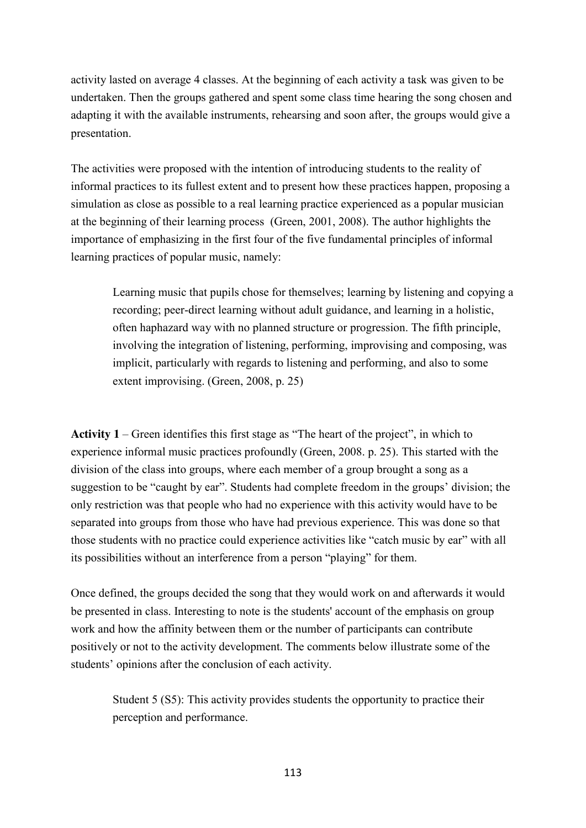activity lasted on average 4 classes. At the beginning of each activity a task was given to be undertaken. Then the groups gathered and spent some class time hearing the song chosen and adapting it with the available instruments, rehearsing and soon after, the groups would give a presentation.

The activities were proposed with the intention of introducing students to the reality of informal practices to its fullest extent and to present how these practices happen, proposing a simulation as close as possible to a real learning practice experienced as a popular musician at the beginning of their learning process (Green, 2001, 2008). The author highlights the importance of emphasizing in the first four of the five fundamental principles of informal learning practices of popular music, namely:

Learning music that pupils chose for themselves; learning by listening and copying a recording; peer-direct learning without adult guidance, and learning in a holistic, often haphazard way with no planned structure or progression. The fifth principle, involving the integration of listening, performing, improvising and composing, was implicit, particularly with regards to listening and performing, and also to some extent improvising. (Green, 2008, p. 25)

**Activity 1** – Green identifies this first stage as "The heart of the project", in which to experience informal music practices profoundly (Green, 2008. p. 25). This started with the division of the class into groups, where each member of a group brought a song as a suggestion to be "caught by ear". Students had complete freedom in the groups' division; the only restriction was that people who had no experience with this activity would have to be separated into groups from those who have had previous experience. This was done so that those students with no practice could experience activities like "catch music by ear" with all its possibilities without an interference from a person "playing" for them.

Once defined, the groups decided the song that they would work on and afterwards it would be presented in class. Interesting to note is the students' account of the emphasis on group work and how the affinity between them or the number of participants can contribute positively or not to the activity development. The comments below illustrate some of the students' opinions after the conclusion of each activity.

Student 5 (S5): This activity provides students the opportunity to practice their perception and performance.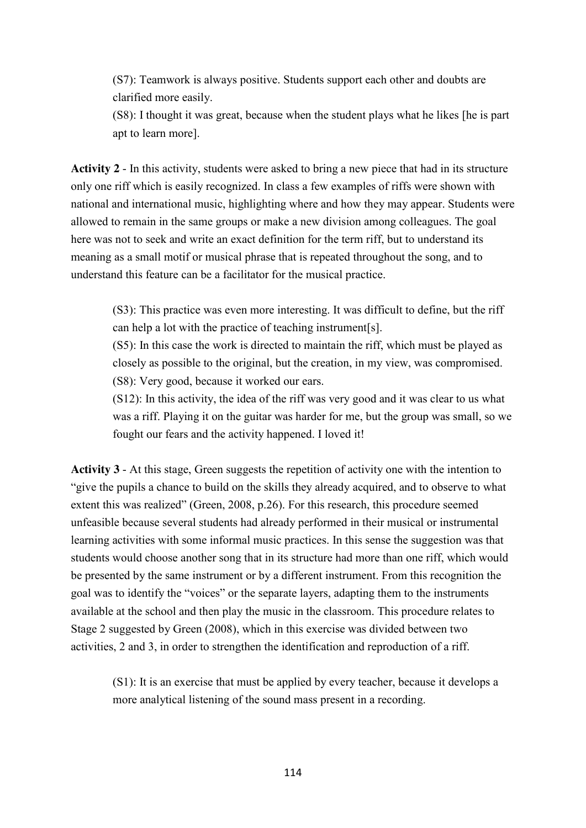(S7): Teamwork is always positive. Students support each other and doubts are clarified more easily.

(S8): I thought it was great, because when the student plays what he likes [he is part apt to learn more].

**Activity 2** - In this activity, students were asked to bring a new piece that had in its structure only one riff which is easily recognized. In class a few examples of riffs were shown with national and international music, highlighting where and how they may appear. Students were allowed to remain in the same groups or make a new division among colleagues. The goal here was not to seek and write an exact definition for the term riff, but to understand its meaning as a small motif or musical phrase that is repeated throughout the song, and to understand this feature can be a facilitator for the musical practice.

(S3): This practice was even more interesting. It was difficult to define, but the riff can help a lot with the practice of teaching instrument[s].

(S5): In this case the work is directed to maintain the riff, which must be played as closely as possible to the original, but the creation, in my view, was compromised. (S8): Very good, because it worked our ears.

(S12): In this activity, the idea of the riff was very good and it was clear to us what was a riff. Playing it on the guitar was harder for me, but the group was small, so we fought our fears and the activity happened. I loved it!

**Activity 3** - At this stage, Green suggests the repetition of activity one with the intention to "give the pupils a chance to build on the skills they already acquired, and to observe to what extent this was realized" (Green, 2008, p.26). For this research, this procedure seemed unfeasible because several students had already performed in their musical or instrumental learning activities with some informal music practices. In this sense the suggestion was that students would choose another song that in its structure had more than one riff, which would be presented by the same instrument or by a different instrument. From this recognition the goal was to identify the "voices" or the separate layers, adapting them to the instruments available at the school and then play the music in the classroom. This procedure relates to Stage 2 suggested by Green (2008), which in this exercise was divided between two activities, 2 and 3, in order to strengthen the identification and reproduction of a riff.

(S1): It is an exercise that must be applied by every teacher, because it develops a more analytical listening of the sound mass present in a recording.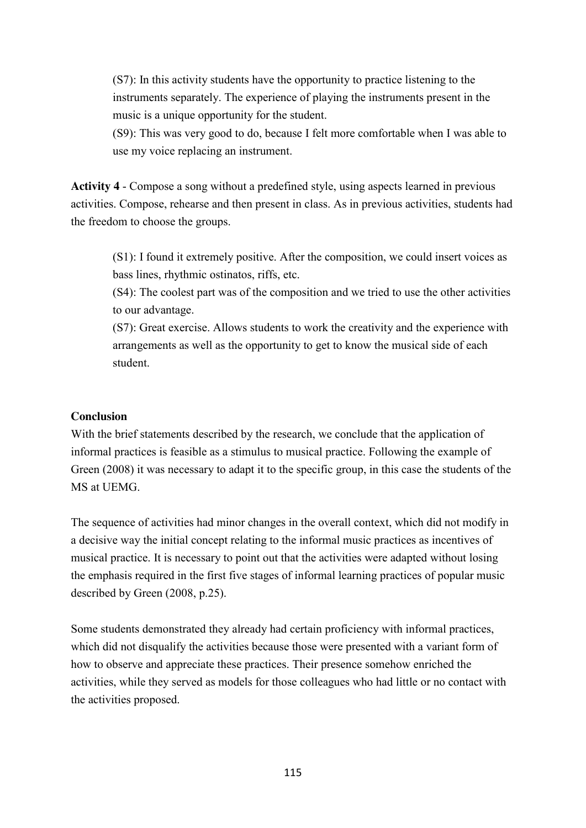(S7): In this activity students have the opportunity to practice listening to the instruments separately. The experience of playing the instruments present in the music is a unique opportunity for the student.

(S9): This was very good to do, because I felt more comfortable when I was able to use my voice replacing an instrument.

**Activity 4** - Compose a song without a predefined style, using aspects learned in previous activities. Compose, rehearse and then present in class. As in previous activities, students had the freedom to choose the groups.

(S1): I found it extremely positive. After the composition, we could insert voices as bass lines, rhythmic ostinatos, riffs, etc.

(S4): The coolest part was of the composition and we tried to use the other activities to our advantage.

(S7): Great exercise. Allows students to work the creativity and the experience with arrangements as well as the opportunity to get to know the musical side of each student.

### **Conclusion**

With the brief statements described by the research, we conclude that the application of informal practices is feasible as a stimulus to musical practice. Following the example of Green (2008) it was necessary to adapt it to the specific group, in this case the students of the MS at UEMG.

The sequence of activities had minor changes in the overall context, which did not modify in a decisive way the initial concept relating to the informal music practices as incentives of musical practice. It is necessary to point out that the activities were adapted without losing the emphasis required in the first five stages of informal learning practices of popular music described by Green (2008, p.25).

Some students demonstrated they already had certain proficiency with informal practices, which did not disqualify the activities because those were presented with a variant form of how to observe and appreciate these practices. Their presence somehow enriched the activities, while they served as models for those colleagues who had little or no contact with the activities proposed.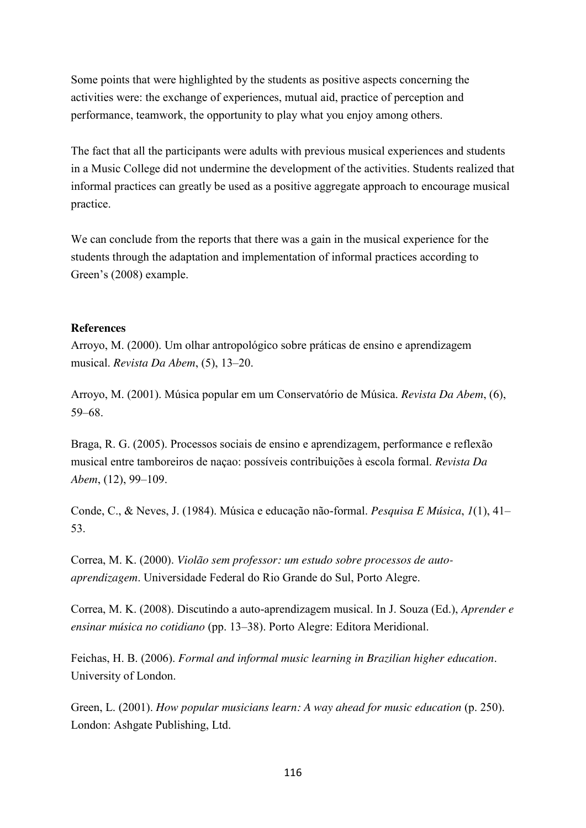Some points that were highlighted by the students as positive aspects concerning the activities were: the exchange of experiences, mutual aid, practice of perception and performance, teamwork, the opportunity to play what you enjoy among others.

The fact that all the participants were adults with previous musical experiences and students in a Music College did not undermine the development of the activities. Students realized that informal practices can greatly be used as a positive aggregate approach to encourage musical practice.

We can conclude from the reports that there was a gain in the musical experience for the students through the adaptation and implementation of informal practices according to Green's (2008) example.

### **References**

Arroyo, M. (2000). Um olhar antropológico sobre práticas de ensino e aprendizagem musical. *Revista Da Abem*, (5), 13–20.

Arroyo, M. (2001). Música popular em um Conservatório de Música. *Revista Da Abem*, (6), 59–68.

Braga, R. G. (2005). Processos sociais de ensino e aprendizagem, performance e reflexão musical entre tamboreiros de naçao: possíveis contribuições à escola formal. *Revista Da Abem*, (12), 99–109.

Conde, C., & Neves, J. (1984). Música e educação não-formal. *Pesquisa E Música*, *1*(1), 41– 53.

Correa, M. K. (2000). *Violão sem professor: um estudo sobre processos de autoaprendizagem*. Universidade Federal do Rio Grande do Sul, Porto Alegre.

Correa, M. K. (2008). Discutindo a auto-aprendizagem musical. In J. Souza (Ed.), *Aprender e ensinar música no cotidiano* (pp. 13–38). Porto Alegre: Editora Meridional.

Feichas, H. B. (2006). *Formal and informal music learning in Brazilian higher education*. University of London.

Green, L. (2001). *How popular musicians learn: A way ahead for music education* (p. 250). London: Ashgate Publishing, Ltd.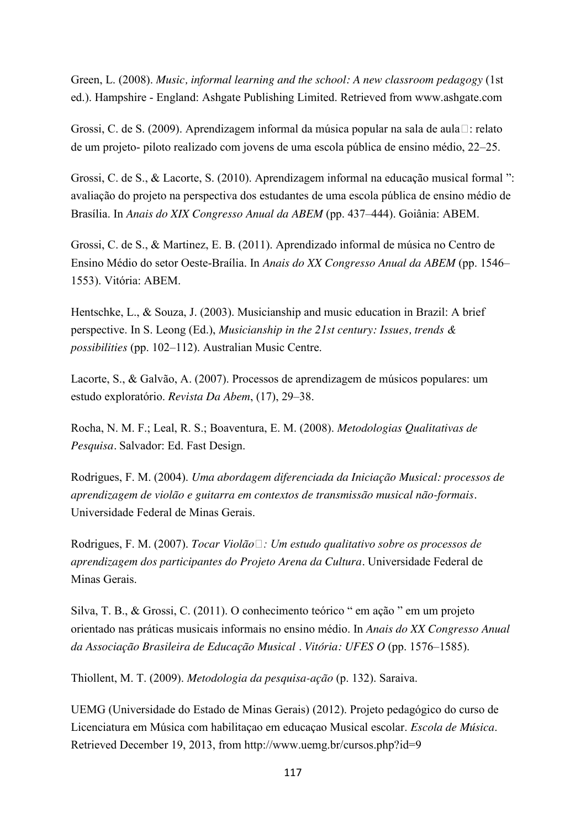Green, L. (2008). *Music, informal learning and the school: A new classroom pedagogy* (1st ed.). Hampshire - England: Ashgate Publishing Limited. Retrieved from www.ashgate.com

Grossi, C. de S. (2009). Aprendizagem informal da música popular na sala de aula : relato de um projeto- piloto realizado com jovens de uma escola pública de ensino médio, 22–25.

Grossi, C. de S., & Lacorte, S. (2010). Aprendizagem informal na educação musical formal ": avaliação do projeto na perspectiva dos estudantes de uma escola pública de ensino médio de Brasília. In *Anais do XIX Congresso Anual da ABEM* (pp. 437–444). Goiânia: ABEM.

Grossi, C. de S., & Martinez, E. B. (2011). Aprendizado informal de música no Centro de Ensino Médio do setor Oeste-Braília. In *Anais do XX Congresso Anual da ABEM* (pp. 1546– 1553). Vitória: ABEM.

Hentschke, L., & Souza, J. (2003). Musicianship and music education in Brazil: A brief perspective. In S. Leong (Ed.), *Musicianship in the 21st century: Issues, trends & possibilities* (pp. 102–112). Australian Music Centre.

Lacorte, S., & Galvão, A. (2007). Processos de aprendizagem de músicos populares: um estudo exploratório. *Revista Da Abem*, (17), 29–38.

Rocha, N. M. F.; Leal, R. S.; Boaventura, E. M. (2008). *Metodologias Qualitativas de Pesquisa.* Salvador: Ed. Fast Design.

Rodrigues, F. M. (2004). *Uma abordagem diferenciada da Iniciação Musical: processos de aprendizagem de violão e guitarra em contextos de transmissão musical não-formais.* Universidade Federal de Minas Gerais.

Rodrigues, F. M. (2007). *Tocar Violão : Um estudo qualitativo sobre os processos de aprendizagem dos participantes do Projeto Arena da Cultura.* Universidade Federal de Minas Gerais.

Silva, T. B., & Grossi, C. (2011). O conhecimento teórico " em ação " em um projeto orientado nas práticas musicais informais no ensino médio. In *Anais do XX Congresso Anual da Associação Brasileira de Educação Musical . Vitória: UFES O* (pp. 1576–1585).

Thiollent, M. T. (2009). *Metodologia da pesquisa-ação* (p. 132). Saraiva.

UEMG (Universidade do Estado de Minas Gerais) (2012). Projeto pedagógico do curso de Licenciatura em Música com habilitaçao em educaçao Musical escolar. *Escola de Música*. Retrieved December 19, 2013, from http://www.uemg.br/cursos.php?id=9